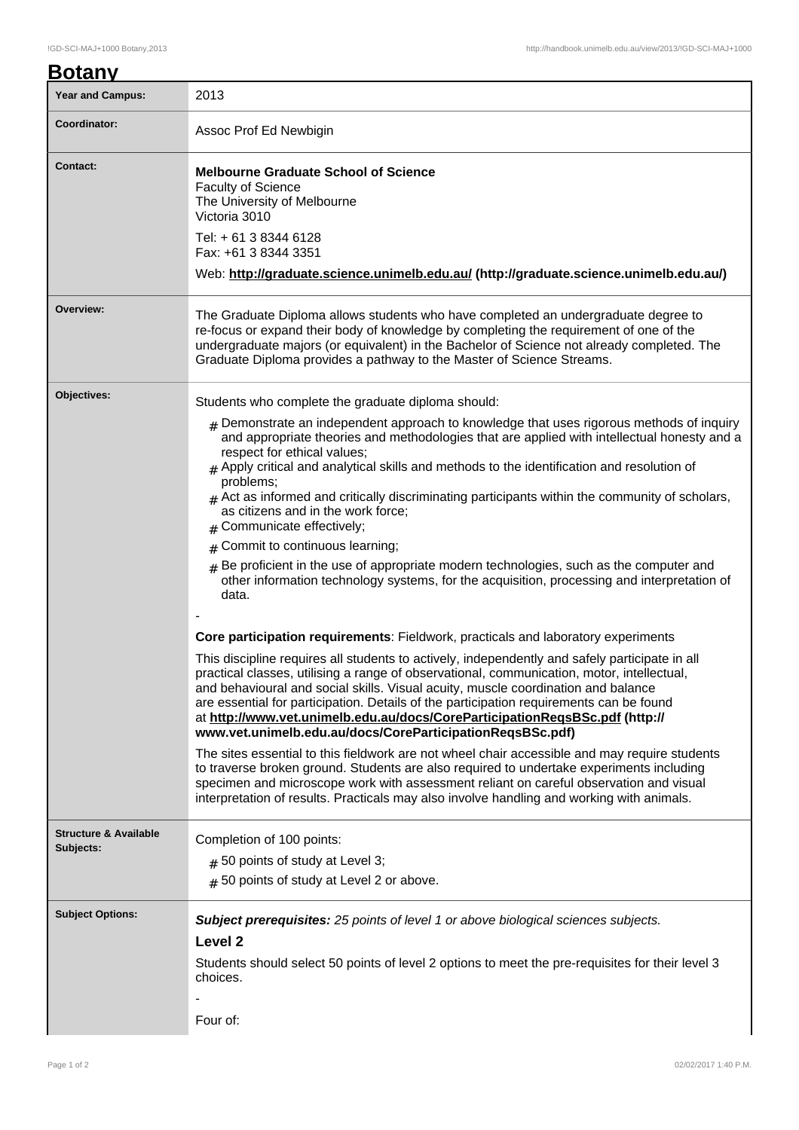| <u>Botany</u>                                 |                                                                                                                                                                                                                                                                                                                                                                                                                                                                                                                          |  |  |  |  |
|-----------------------------------------------|--------------------------------------------------------------------------------------------------------------------------------------------------------------------------------------------------------------------------------------------------------------------------------------------------------------------------------------------------------------------------------------------------------------------------------------------------------------------------------------------------------------------------|--|--|--|--|
| <b>Year and Campus:</b>                       | 2013                                                                                                                                                                                                                                                                                                                                                                                                                                                                                                                     |  |  |  |  |
| Coordinator:                                  | Assoc Prof Ed Newbigin                                                                                                                                                                                                                                                                                                                                                                                                                                                                                                   |  |  |  |  |
| <b>Contact:</b>                               | <b>Melbourne Graduate School of Science</b><br><b>Faculty of Science</b><br>The University of Melbourne<br>Victoria 3010<br>Tel: + 61 3 8344 6128<br>Fax: +61 3 8344 3351<br>Web: http://graduate.science.unimelb.edu.au/ (http://graduate.science.unimelb.edu.au/)                                                                                                                                                                                                                                                      |  |  |  |  |
| Overview:                                     | The Graduate Diploma allows students who have completed an undergraduate degree to<br>re-focus or expand their body of knowledge by completing the requirement of one of the<br>undergraduate majors (or equivalent) in the Bachelor of Science not already completed. The<br>Graduate Diploma provides a pathway to the Master of Science Streams.                                                                                                                                                                      |  |  |  |  |
| Objectives:                                   | Students who complete the graduate diploma should:                                                                                                                                                                                                                                                                                                                                                                                                                                                                       |  |  |  |  |
|                                               | $_{\rm #}$ Demonstrate an independent approach to knowledge that uses rigorous methods of inquiry<br>and appropriate theories and methodologies that are applied with intellectual honesty and a<br>respect for ethical values;<br>$_{\#}$ Apply critical and analytical skills and methods to the identification and resolution of<br>problems;<br>$#$ Act as informed and critically discriminating participants within the community of scholars,<br>as citizens and in the work force;<br>Communicate effectively;   |  |  |  |  |
|                                               | Commit to continuous learning;<br>#                                                                                                                                                                                                                                                                                                                                                                                                                                                                                      |  |  |  |  |
|                                               | $#$ Be proficient in the use of appropriate modern technologies, such as the computer and<br>other information technology systems, for the acquisition, processing and interpretation of<br>data.                                                                                                                                                                                                                                                                                                                        |  |  |  |  |
|                                               |                                                                                                                                                                                                                                                                                                                                                                                                                                                                                                                          |  |  |  |  |
|                                               | Core participation requirements: Fieldwork, practicals and laboratory experiments                                                                                                                                                                                                                                                                                                                                                                                                                                        |  |  |  |  |
|                                               | This discipline requires all students to actively, independently and safely participate in all<br>practical classes, utilising a range of observational, communication, motor, intellectual,<br>and behavioural and social skills. Visual acuity, muscle coordination and balance<br>are essential for participation. Details of the participation requirements can be found<br>at http://www.vet.unimelb.edu.au/docs/CoreParticipationReqsBSc.pdf (http://<br>www.vet.unimelb.edu.au/docs/CoreParticipationReqsBSc.pdf) |  |  |  |  |
|                                               | The sites essential to this fieldwork are not wheel chair accessible and may require students<br>to traverse broken ground. Students are also required to undertake experiments including<br>specimen and microscope work with assessment reliant on careful observation and visual<br>interpretation of results. Practicals may also involve handling and working with animals.                                                                                                                                         |  |  |  |  |
| <b>Structure &amp; Available</b><br>Subjects: | Completion of 100 points:                                                                                                                                                                                                                                                                                                                                                                                                                                                                                                |  |  |  |  |
|                                               | $#$ 50 points of study at Level 3;                                                                                                                                                                                                                                                                                                                                                                                                                                                                                       |  |  |  |  |
|                                               | # 50 points of study at Level 2 or above.                                                                                                                                                                                                                                                                                                                                                                                                                                                                                |  |  |  |  |
| <b>Subject Options:</b>                       | <b>Subject prerequisites:</b> 25 points of level 1 or above biological sciences subjects.<br>Level <sub>2</sub><br>Students should select 50 points of level 2 options to meet the pre-requisites for their level 3<br>choices.                                                                                                                                                                                                                                                                                          |  |  |  |  |
|                                               | Four of:                                                                                                                                                                                                                                                                                                                                                                                                                                                                                                                 |  |  |  |  |